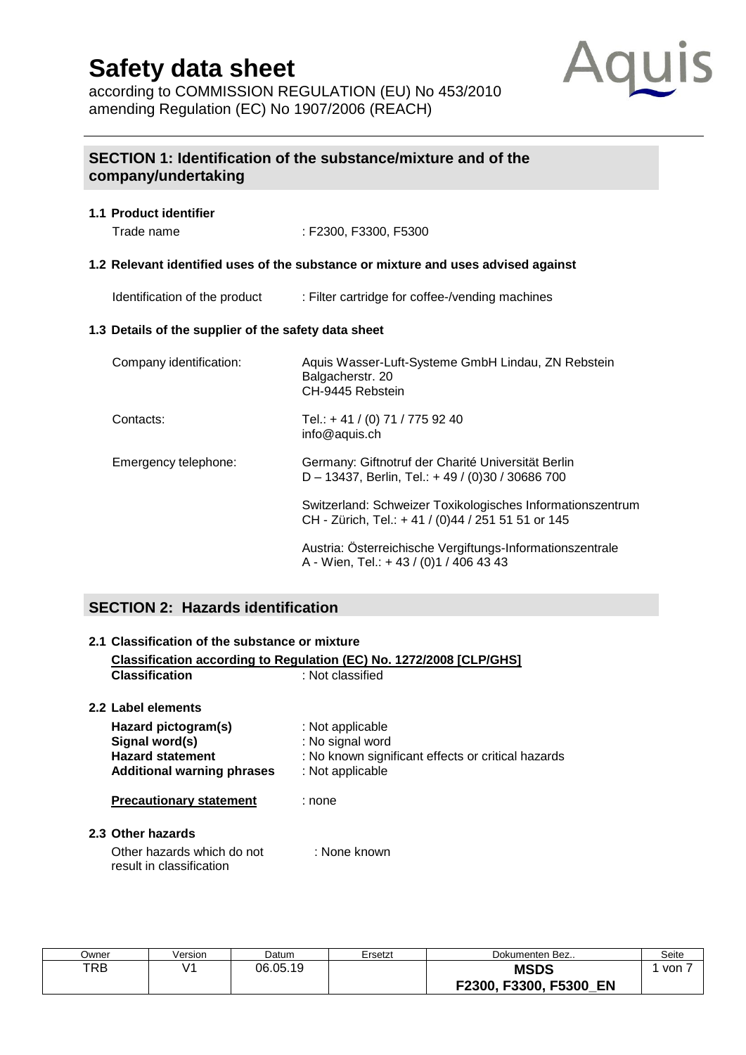according to COMMISSION REGULATION (EU) No 453/2010 amending Regulation (EC) No 1907/2006 (REACH)



## **SECTION 1: Identification of the substance/mixture and of the company/undertaking**

## **1.1 Product identifier**

Trade name : F2300, F3300, F5300

#### **1.2 Relevant identified uses of the substance or mixture and uses advised against**

Identification of the product : Filter cartridge for coffee-/vending machines

#### **1.3 Details of the supplier of the safety data sheet**

| Company identification: | Aquis Wasser-Luft-Systeme GmbH Lindau, ZN Rebstein<br>Balgacherstr. 20<br>CH-9445 Rebstein                      |
|-------------------------|-----------------------------------------------------------------------------------------------------------------|
| Contacts:               | Tel.: +41 / (0) 71 / 775 92 40<br>info@aquis.ch                                                                 |
| Emergency telephone:    | Germany: Giftnotruf der Charité Universität Berlin<br>D - 13437, Berlin, Tel.: + 49 / (0)30 / 30686 700         |
|                         | Switzerland: Schweizer Toxikologisches Informationszentrum<br>CH - Zürich, Tel.: +41 / (0)44 / 251 51 51 or 145 |
|                         | Austria: Österreichische Vergiftungs-Informationszentrale<br>A - Wien, Tel.: + 43 / (0) 1 / 406 43 43           |

## **SECTION 2: Hazards identification**

## **2.1 Classification of the substance or mixture Classification according to Regulation (EC) No. 1272/2008 [CLP/GHS] Classification** : Not classified **2.2 Label elements Hazard pictogram(s)** : Not applicable **Signal word(s)** : No signal word **Hazard statement** : No known significant effects or critical hazards **Additional warning phrases** : Not applicable **Precautionary statement** : none **2.3 Other hazards** Other hazards which do not : None known result in classification

| Jwner | /ersion | Datum    | Ersetzt | Dokumenten Bez                | Seite |
|-------|---------|----------|---------|-------------------------------|-------|
| TRB   |         | 06.05.19 |         | <b>MSDS</b>                   | von   |
|       |         |          |         | F3300, F5300,<br>EN<br>F2300, |       |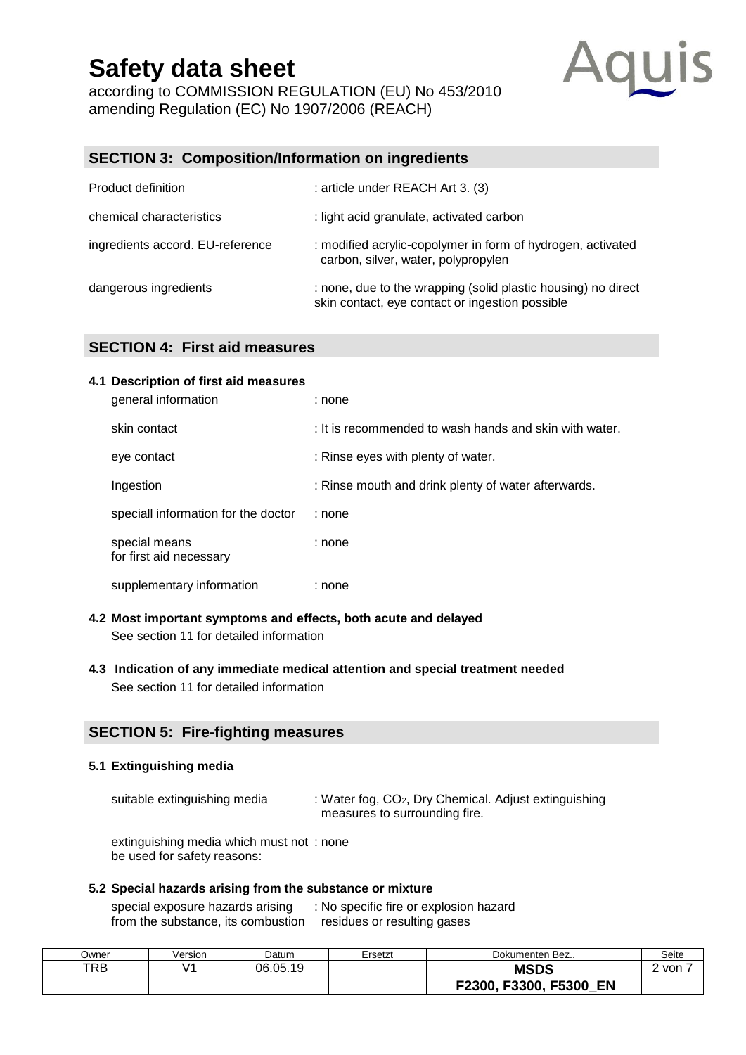according to COMMISSION REGULATION (EU) No 453/2010 amending Regulation (EC) No 1907/2006 (REACH)



## **SECTION 3: Composition/Information on ingredients**

| Product definition               | : article under REACH Art 3. (3)                                                                                 |
|----------------------------------|------------------------------------------------------------------------------------------------------------------|
| chemical characteristics         | : light acid granulate, activated carbon                                                                         |
| ingredients accord. EU-reference | : modified acrylic-copolymer in form of hydrogen, activated<br>carbon, silver, water, polypropylen               |
| dangerous ingredients            | : none, due to the wrapping (solid plastic housing) no direct<br>skin contact, eye contact or ingestion possible |

## **SECTION 4: First aid measures**

#### **4.1 Description of first aid measures**

| general information                      | : none                                                 |
|------------------------------------------|--------------------------------------------------------|
| skin contact                             | : It is recommended to wash hands and skin with water. |
| eye contact                              | : Rinse eyes with plenty of water.                     |
| Ingestion                                | : Rinse mouth and drink plenty of water afterwards.    |
| speciall information for the doctor      | : none                                                 |
| special means<br>for first aid necessary | : none                                                 |
| supplementary information                | : none                                                 |

- **4.2 Most important symptoms and effects, both acute and delayed**  See section 11 for detailed information
- **4.3 Indication of any immediate medical attention and special treatment needed**  See section 11 for detailed information

### **SECTION 5: Fire-fighting measures**

#### **5.1 Extinguishing media**

suitable extinguishing media : Water fog, CO<sub>2</sub>, Dry Chemical. Adjust extinguishing measures to surrounding fire.

extinguishing media which must not : none be used for safety reasons:

#### **5.2 Special hazards arising from the substance or mixture**

special exposure hazards arising : No specific fire or explosion hazard from the substance, its combustion residues or resulting gases

| Jwner | /ersion | Datum    | Ersetzt | Dokumenten Bez                      | Seite |
|-------|---------|----------|---------|-------------------------------------|-------|
| TRB   |         | 06.05.19 |         | <b>MSDS</b>                         | von » |
|       |         |          |         | F3300, F5300<br><b>EN</b><br>F2300, |       |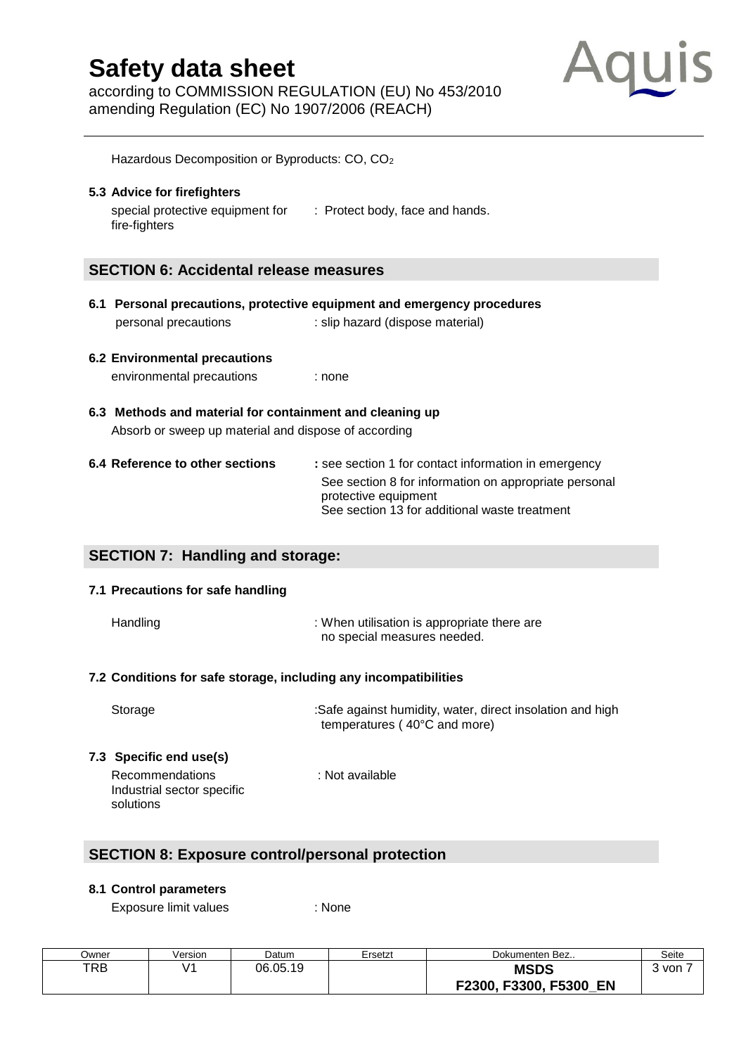according to COMMISSION REGULATION (EU) No 453/2010 amending Regulation (EC) No 1907/2006 (REACH)



Hazardous Decomposition or Byproducts: CO, CO<sup>2</sup> **5.3 Advice for firefighters**  special protective equipment for : Protect body, face and hands. fire-fighters **SECTION 6: Accidental release measures 6.1 Personal precautions, protective equipment and emergency procedures**  personal precautions : slip hazard (dispose material) **6.2 Environmental precautions**  environmental precautions : none **6.3 Methods and material for containment and cleaning up**  Absorb or sweep up material and dispose of according **6.4 Reference to other sections : see section 1 for contact information in emergency** See section 8 for information on appropriate personal protective equipment See section 13 for additional waste treatment **SECTION 7: Handling and storage: 7.1 Precautions for safe handling** Handling : When utilisation is [appropriate](http://dict.leo.org/se?lp=ende&p=/Mn4k.&search=appropriate) there are no special measures needed. **7.2 Conditions for safe storage, including any incompatibilities**

| Storage | :Safe against humidity, water, direct insolation and high |
|---------|-----------------------------------------------------------|
|         | temperatures (40°C and more)                              |
|         |                                                           |

**7.3 Specific end use(s)**

Recommendations : Not available Industrial sector specific solutions

## **SECTION 8: Exposure control/personal protection**

### **8.1 Control parameters**

Exposure limit values : None

| Dwner | Version | Datum    | Ersetzt | Dokumenten Bez               | Seite |
|-------|---------|----------|---------|------------------------------|-------|
| TRB   | ۷1      | 06.05.19 |         | <b>MSDS</b>                  | von   |
|       |         |          |         | F3300, F5300<br>F2300,<br>EN |       |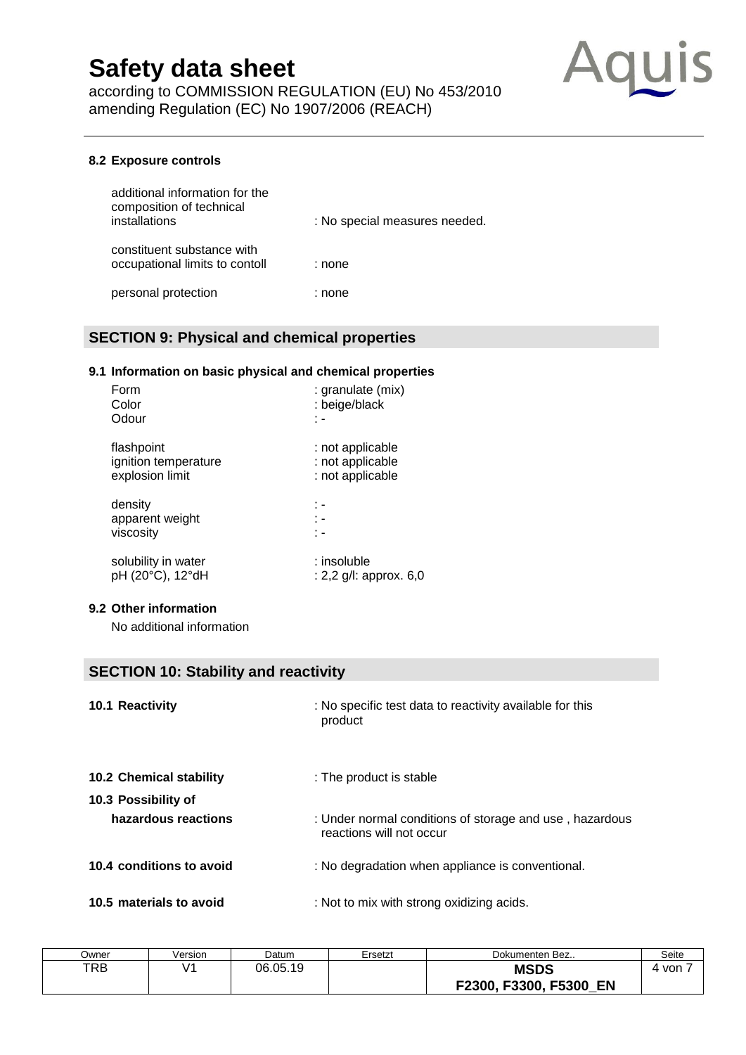according to COMMISSION REGULATION (EU) No 453/2010 amending Regulation (EC) No 1907/2006 (REACH)



#### **8.2 Exposure controls**

| additional information for the<br>composition of technical<br>installations | : No special measures needed. |
|-----------------------------------------------------------------------------|-------------------------------|
| constituent substance with<br>occupational limits to contoll                | : none                        |
| personal protection                                                         | : none                        |

## **SECTION 9: Physical and chemical properties**

#### **9.1 Information on basic physical and chemical properties**

| : granulate (mix)<br>: beige/black |
|------------------------------------|
| ٠.                                 |
| : not applicable                   |
| : not applicable                   |
| : not applicable                   |
| : -                                |
| t -                                |
| t -                                |
| : insoluble                        |
| : 2,2 g/l: approx. 6,0             |
|                                    |

#### **9.2 Other information**

No additional information

## **SECTION 10: Stability and reactivity**

| 10.1 Reactivity          | : No specific test data to reactivity available for this<br>product                 |
|--------------------------|-------------------------------------------------------------------------------------|
| 10.2 Chemical stability  | : The product is stable                                                             |
| 10.3 Possibility of      |                                                                                     |
| hazardous reactions      | : Under normal conditions of storage and use, hazardous<br>reactions will not occur |
| 10.4 conditions to avoid | : No degradation when appliance is conventional.                                    |
| 10.5 materials to avoid  | : Not to mix with strong oxidizing acids.                                           |

| Dwner | Version | Datum    | Ersetzt | Dokumenten Bez                              | Seite |
|-------|---------|----------|---------|---------------------------------------------|-------|
| TRB   |         | 06.05.19 |         | <b>MSDS</b><br>F3300, F5300<br>EN<br>F2300. | von   |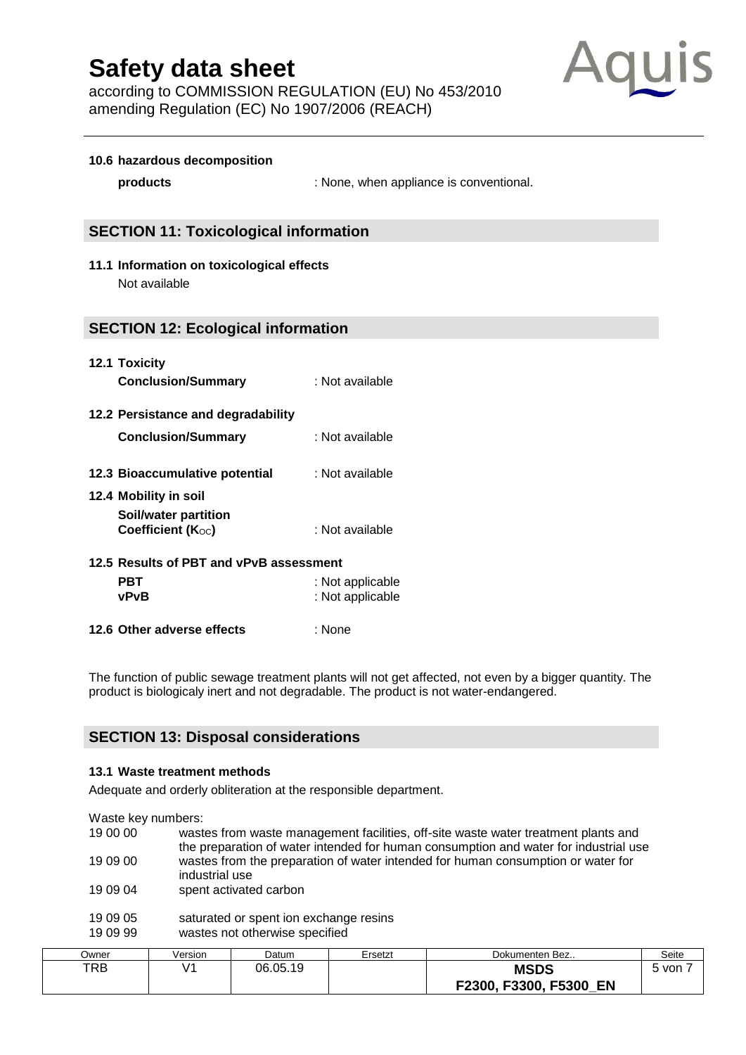according to COMMISSION REGULATION (EU) No 453/2010 amending Regulation (EC) No 1907/2006 (REACH)



#### **10.6 hazardous decomposition**

**products** : None, when appliance is conventional.

#### **SECTION 11: Toxicological information**

**11.1 Information on toxicological effects** Not available

#### **SECTION 12: Ecological information**

| 12.1 Toxicity             |                 |
|---------------------------|-----------------|
| <b>Conclusion/Summary</b> | : Not available |

- **12.2 Persistance and degradability**
	- **Conclusion/Summary** : Not available
- **12.3 Bioaccumulative potential** : Not available
- **12.4 Mobility in soil Soil/water partition Coefficient (K**oc) : Not available
- **12.5 Results of PBT and vPvB assessment PBT** : Not applicable **vPvB** : Not applicable
- **12.6 Other adverse effects** : None

The function of public [sewage](http://dict.leo.org/se?lp=ende&p=/Mn4k.&search=sewage) [treatment](http://dict.leo.org/se?lp=ende&p=/Mn4k.&search=treatment) [plants](http://dict.leo.org/se?lp=ende&p=/Mn4k.&search=plants) will not get affected, not even by a bigger quantity. The product is biologicaly inert and not [degradable.](http://dict.leo.org/se?lp=ende&p=/Mn4k.&search=bio-degradable) The product is not water-endangered.

#### **SECTION 13: Disposal considerations**

#### **13.1 Waste treatment methods**

[Adequate](http://dict.leo.org/se?lp=ende&p=/Mn4k.&search=adequate) [and](http://dict.leo.org/se?lp=ende&p=/Mn4k.&search=and) [orderly](http://dict.leo.org/se?lp=ende&p=/Mn4k.&search=orderly) obliteration at the responsible department.

Waste key numbers:

| 19 00 00 | wastes from waste management facilities, off-site waste water treatment plants and<br>the preparation of water intended for human consumption and water for industrial use |
|----------|----------------------------------------------------------------------------------------------------------------------------------------------------------------------------|
| 19 09 00 | wastes from the preparation of water intended for human consumption or water for<br>industrial use                                                                         |
| 19 09 04 | spent activated carbon                                                                                                                                                     |
| 19 09 05 | saturated or spent ion exchange resins                                                                                                                                     |
| 19 09 99 | wastes not otherwise specified                                                                                                                                             |

| Jwner | Version | Datum    | Ersetzt | Dokumenten Bez               | Seite |
|-------|---------|----------|---------|------------------------------|-------|
| TRB   | 11      | 06.05.19 |         | <b>MSDS</b>                  | von   |
|       |         |          |         | F3300, F5300<br>EN<br>F2300. |       |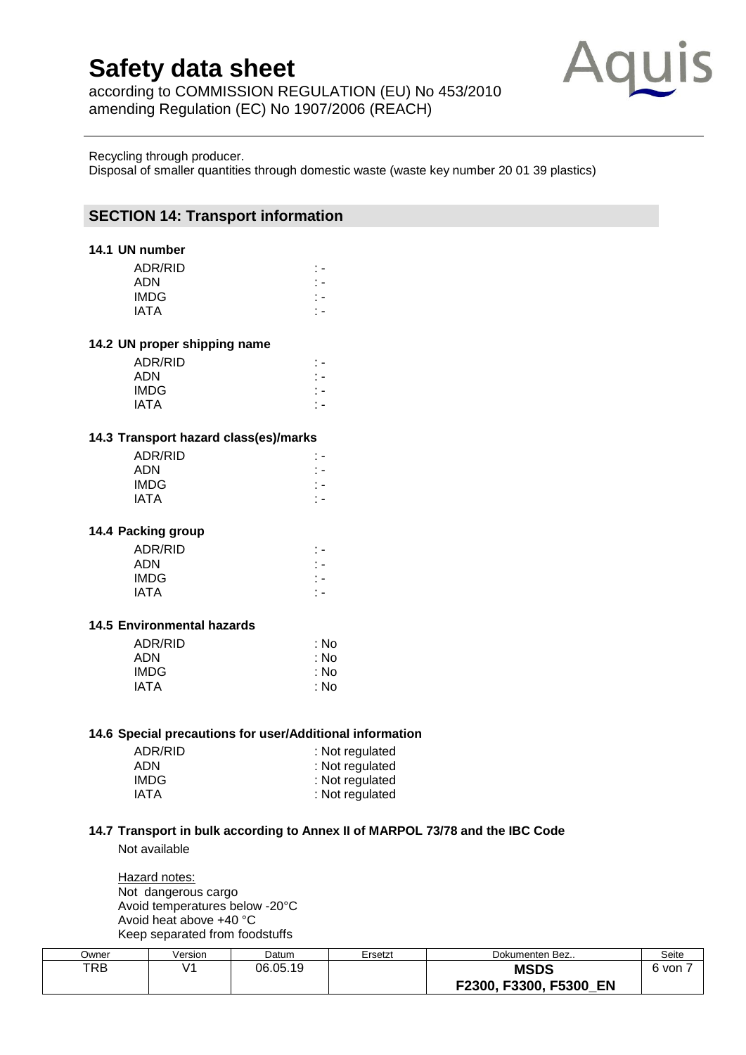according to COMMISSION REGULATION (EU) No 453/2010 amending Regulation (EC) No 1907/2006 (REACH)



Recycling through producer.

Disposal of smaller quantities through domestic waste (waste key number 20 01 39 plastics)

## **SECTION 14: Transport information**

#### **14.1 UN number**

| ADR/RID     |  |
|-------------|--|
| <b>ADN</b>  |  |
| <b>IMDG</b> |  |
| <b>IATA</b> |  |

#### **14.2 UN proper shipping name**

| ADR/RID     |  |
|-------------|--|
| <b>ADN</b>  |  |
| <b>IMDG</b> |  |
| IATA        |  |
|             |  |

#### **14.3 Transport hazard class(es)/marks**

| ADR/RID<br><b>ADN</b> |  |
|-----------------------|--|
| <b>IMDG</b>           |  |
| <b>IATA</b>           |  |

#### **14.4 Packing group**

| $\overline{\phantom{a}}$ |
|--------------------------|
| $\overline{\phantom{a}}$ |
| $\overline{\phantom{a}}$ |
|                          |
|                          |

#### **14.5 Environmental hazards**

| ADR/RID     | : No |
|-------------|------|
| <b>ADN</b>  | : No |
| IMDG        | : No |
| <b>IATA</b> | : No |
|             |      |

#### **14.6 Special precautions for user/Additional information**

| ADR/RID | : Not regulated |
|---------|-----------------|
| ADN     | : Not regulated |
| IMDG.   | : Not regulated |
| IATA    | : Not regulated |

### **14.7 Transport in bulk according to Annex II of MARPOL 73/78 and the IBC Code**

Not available

**Hazard notes:** Not dangerous cargo Avoid temperatures below -20°C Avoid heat above +40 °C Keep separated from foodstuffs

| Jwner | /ersion | Datum    | Ersetzt | Dokumenten Bez            | Seite |
|-------|---------|----------|---------|---------------------------|-------|
| TRB   | - 7 -   | 06.05.19 |         | <b>MSDS</b>               | von   |
|       |         |          |         | F2300, F3300, F5300<br>EN |       |